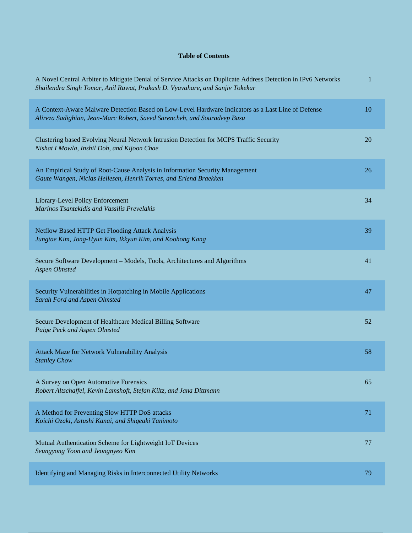## **Table of Contents**

| A Novel Central Arbiter to Mitigate Denial of Service Attacks on Duplicate Address Detection in IPv6 Networks<br>Shailendra Singh Tomar, Anil Rawat, Prakash D. Vyavahare, and Sanjiv Tokekar | 1  |
|-----------------------------------------------------------------------------------------------------------------------------------------------------------------------------------------------|----|
| A Context-Aware Malware Detection Based on Low-Level Hardware Indicators as a Last Line of Defense<br>Alireza Sadighian, Jean-Marc Robert, Saeed Sarencheh, and Souradeep Basu                | 10 |
| Clustering based Evolving Neural Network Intrusion Detection for MCPS Traffic Security<br>Nishat I Mowla, Inshil Doh, and Kijoon Chae                                                         | 20 |
| An Empirical Study of Root-Cause Analysis in Information Security Management<br>Gaute Wangen, Niclas Hellesen, Henrik Torres, and Erlend Braekken                                             | 26 |
| Library-Level Policy Enforcement<br>Marinos Tsantekidis and Vassilis Prevelakis                                                                                                               | 34 |
| Netflow Based HTTP Get Flooding Attack Analysis<br>Jungtae Kim, Jong-Hyun Kim, Ikkyun Kim, and Koohong Kang                                                                                   | 39 |
| Secure Software Development - Models, Tools, Architectures and Algorithms<br><b>Aspen Olmsted</b>                                                                                             | 41 |
| Security Vulnerabilities in Hotpatching in Mobile Applications<br>Sarah Ford and Aspen Olmsted                                                                                                | 47 |
| Secure Development of Healthcare Medical Billing Software<br>Paige Peck and Aspen Olmsted                                                                                                     | 52 |
| <b>Attack Maze for Network Vulnerability Analysis</b><br><b>Stanley Chow</b>                                                                                                                  | 58 |
| A Survey on Open Automotive Forensics<br>Robert Altschaffel, Kevin Lamshoft, Stefan Kiltz, and Jana Dittmann                                                                                  | 65 |
| A Method for Preventing Slow HTTP DoS attacks<br>Koichi Ozaki, Astushi Kanai, and Shigeaki Tanimoto                                                                                           | 71 |
| Mutual Authentication Scheme for Lightweight IoT Devices<br>Seungyong Yoon and Jeongnyeo Kim                                                                                                  | 77 |
| Identifying and Managing Risks in Interconnected Utility Networks                                                                                                                             | 79 |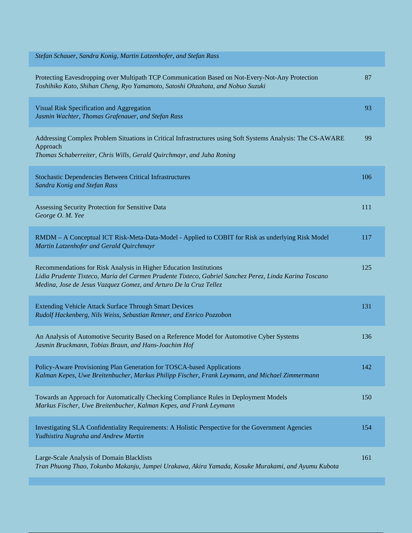| Stefan Schauer, Sandra Konig, Martin Latzenhofer, and Stefan Rass                                                                                                                                                                                 |     |
|---------------------------------------------------------------------------------------------------------------------------------------------------------------------------------------------------------------------------------------------------|-----|
| Protecting Eavesdropping over Multipath TCP Communication Based on Not-Every-Not-Any Protection<br>Toshihiko Kato, Shihan Cheng, Ryo Yamamoto, Satoshi Ohzahata, and Nobuo Suzuki                                                                 | 87  |
| Visual Risk Specification and Aggregation<br>Jasmin Wachter, Thomas Grafenauer, and Stefan Rass                                                                                                                                                   | 93  |
| Addressing Complex Problem Situations in Critical Infrastructures using Soft Systems Analysis: The CS-AWARE<br>Approach<br>Thomas Schaberreiter, Chris Wills, Gerald Quirchmayr, and Juha Roning                                                  | 99  |
| Stochastic Dependencies Between Critical Infrastructures<br>Sandra Konig and Stefan Rass                                                                                                                                                          | 106 |
| Assessing Security Protection for Sensitive Data<br>George O. M. Yee                                                                                                                                                                              | 111 |
| RMDM - A Conceptual ICT Risk-Meta-Data-Model - Applied to COBIT for Risk as underlying Risk Model<br>Martin Latzenhofer and Gerald Quirchmayr                                                                                                     | 117 |
| Recommendations for Risk Analysis in Higher Education Institutions<br>Lidia Prudente Tixteco, Maria del Carmen Prudente Tixteco, Gabriel Sanchez Perez, Linda Karina Toscano<br>Medina, Jose de Jesus Vazquez Gomez, and Arturo De la Cruz Tellez | 125 |
| Extending Vehicle Attack Surface Through Smart Devices<br>Rudolf Hackenberg, Nils Weiss, Sebastian Renner, and Enrico Pozzobon                                                                                                                    | 131 |
| An Analysis of Automotive Security Based on a Reference Model for Automotive Cyber Systems<br>Jasmin Bruckmann, Tobias Braun, and Hans-Joachim Hof                                                                                                | 136 |
| Policy-Aware Provisioning Plan Generation for TOSCA-based Applications<br>Kalman Kepes, Uwe Breitenbucher, Markus Philipp Fischer, Frank Leymann, and Michael Zimmermann                                                                          | 142 |
| Towards an Approach for Automatically Checking Compliance Rules in Deployment Models<br>Markus Fischer, Uwe Breitenbucher, Kalman Kepes, and Frank Leymann                                                                                        | 150 |
| Investigating SLA Confidentiality Requirements: A Holistic Perspective for the Government Agencies<br>Yudhistira Nugraha and Andrew Martin                                                                                                        | 154 |
| Large-Scale Analysis of Domain Blacklists<br>Tran Phuong Thao, Tokunbo Makanju, Jumpei Urakawa, Akira Yamada, Kosuke Murakami, and Ayumu Kubota                                                                                                   | 161 |